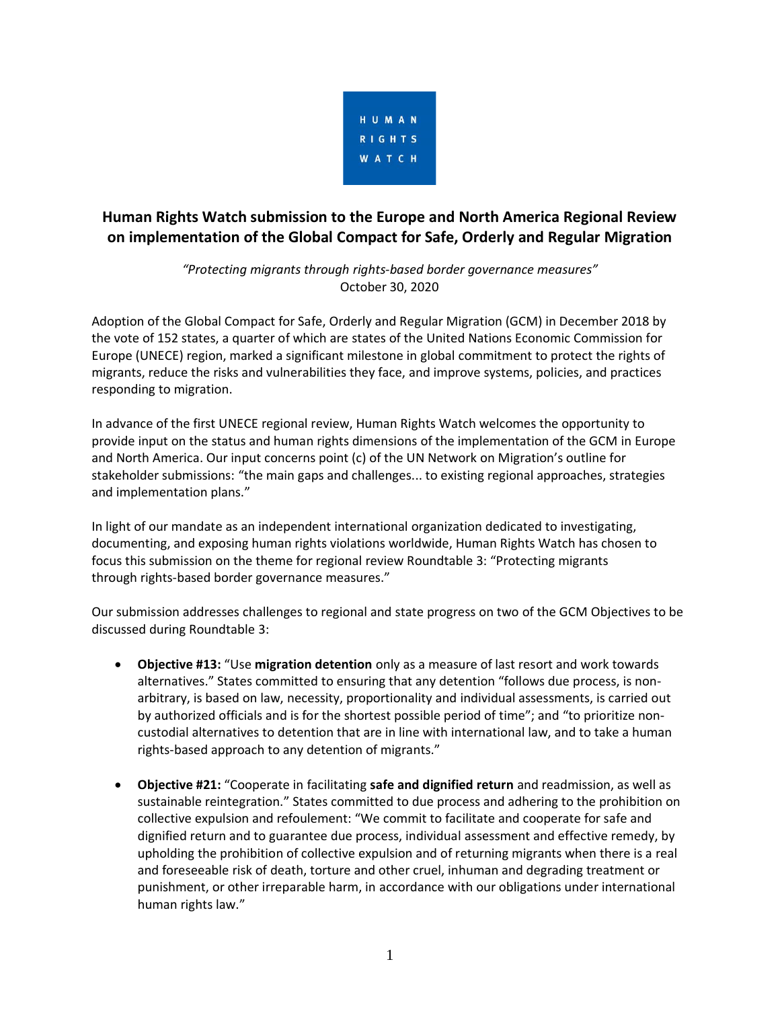

# **Human Rights Watch submission to the Europe and North America Regional Review on implementation of the Global Compact for Safe, Orderly and Regular Migration**

*"Protecting migrants through rights-based border governance measures"* October 30, 2020

Adoption of the Global Compact for Safe, Orderly and Regular Migration (GCM) in December 2018 by the vote of 152 states, a quarter of which are states of the United Nations Economic Commission for Europe (UNECE) region, marked a significant milestone in global commitment to protect the rights of migrants, reduce the risks and vulnerabilities they face, and improve systems, policies, and practices responding to migration.

In advance of the first UNECE regional review, Human Rights Watch welcomes the opportunity to provide input on the status and human rights dimensions of the implementation of the GCM in Europe and North America. Our input concerns point (c) of the UN Network on Migration's outline for stakeholder submissions: "the main gaps and challenges... to existing regional approaches, strategies and implementation plans."

In light of our mandate as an independent international organization dedicated to investigating, documenting, and exposing human rights violations worldwide, Human Rights Watch has chosen to focus this submission on the theme for regional review Roundtable 3: "Protecting migrants through rights-based border governance measures."

Our submission addresses challenges to regional and state progress on two of the GCM Objectives to be discussed during Roundtable 3:

- **Objective #13:** "Use **migration detention** only as a measure of last resort and work towards alternatives." States committed to ensuring that any detention "follows due process, is nonarbitrary, is based on law, necessity, proportionality and individual assessments, is carried out by authorized officials and is for the shortest possible period of time"; and "to prioritize noncustodial alternatives to detention that are in line with international law, and to take a human rights-based approach to any detention of migrants."
- **Objective #21:** "Cooperate in facilitating **safe and dignified return** and readmission, as well as sustainable reintegration." States committed to due process and adhering to the prohibition on collective expulsion and refoulement: "We commit to facilitate and cooperate for safe and dignified return and to guarantee due process, individual assessment and effective remedy, by upholding the prohibition of collective expulsion and of returning migrants when there is a real and foreseeable risk of death, torture and other cruel, inhuman and degrading treatment or punishment, or other irreparable harm, in accordance with our obligations under international human rights law."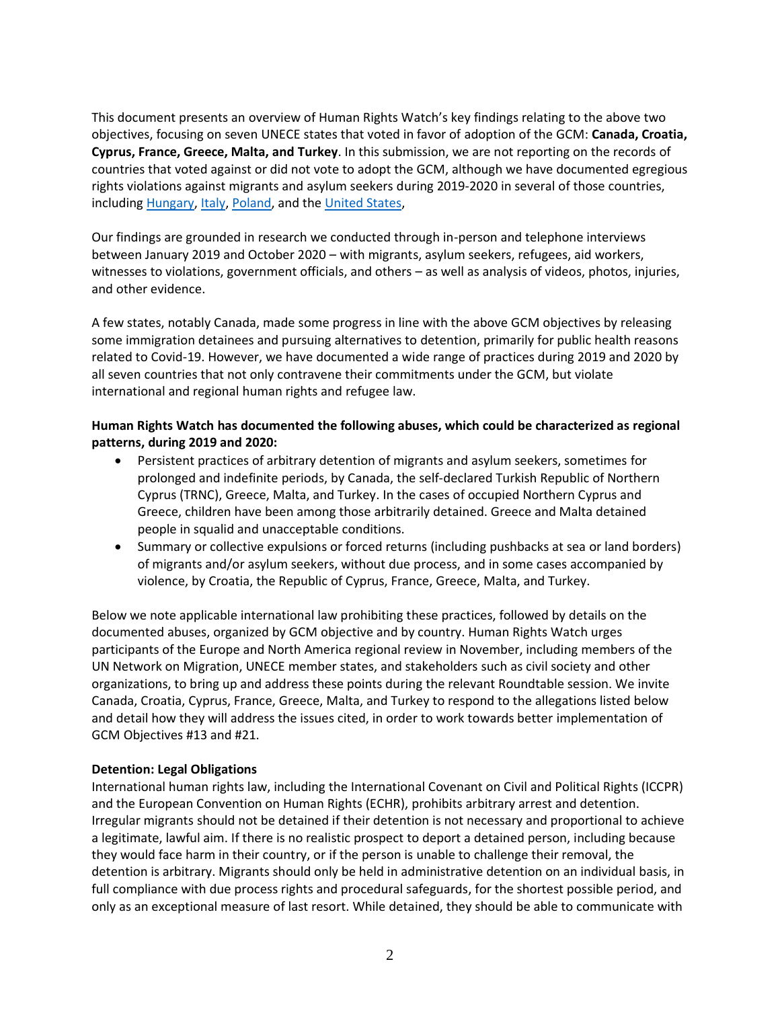This document presents an overview of Human Rights Watch's key findings relating to the above two objectives, focusing on seven UNECE states that voted in favor of adoption of the GCM: **Canada, Croatia, Cyprus, France, Greece, Malta, and Turkey**. In this submission, we are not reporting on the records of countries that voted against or did not vote to adopt the GCM, although we have documented egregious rights violations against migrants and asylum seekers during 2019-2020 in several of those countries, including [Hungary,](https://www.hrw.org/world-report/2020/country-chapters/european-union#fa79c3) [Italy,](https://www.hrw.org/news/2020/02/12/italy-halt-abusive-migration-cooperation-libya) [Poland,](https://www.hrw.org/world-report/2020/country-chapters/european-union#94880b) and the [United States,](https://www.hrw.org/news/2020/10/27/human-rights-watch-2021-transition-priorities-next-us-administration#immigration_and_border_policy)

Our findings are grounded in research we conducted through in-person and telephone interviews between January 2019 and October 2020 – with migrants, asylum seekers, refugees, aid workers, witnesses to violations, government officials, and others – as well as analysis of videos, photos, injuries, and other evidence.

A few states, notably Canada, made some progress in line with the above GCM objectives by releasing some immigration detainees and pursuing alternatives to detention, primarily for public health reasons related to Covid-19. However, we have documented a wide range of practices during 2019 and 2020 by all seven countries that not only contravene their commitments under the GCM, but violate international and regional human rights and refugee law.

## **Human Rights Watch has documented the following abuses, which could be characterized as regional patterns, during 2019 and 2020:**

- Persistent practices of arbitrary detention of migrants and asylum seekers, sometimes for prolonged and indefinite periods, by Canada, the self-declared Turkish Republic of Northern Cyprus (TRNC), Greece, Malta, and Turkey. In the cases of occupied Northern Cyprus and Greece, children have been among those arbitrarily detained. Greece and Malta detained people in squalid and unacceptable conditions.
- Summary or collective expulsions or forced returns (including pushbacks at sea or land borders) of migrants and/or asylum seekers, without due process, and in some cases accompanied by violence, by Croatia, the Republic of Cyprus, France, Greece, Malta, and Turkey.

Below we note applicable international law prohibiting these practices, followed by details on the documented abuses, organized by GCM objective and by country. Human Rights Watch urges participants of the Europe and North America regional review in November, including members of the UN Network on Migration, UNECE member states, and stakeholders such as civil society and other organizations, to bring up and address these points during the relevant Roundtable session. We invite Canada, Croatia, Cyprus, France, Greece, Malta, and Turkey to respond to the allegations listed below and detail how they will address the issues cited, in order to work towards better implementation of GCM Objectives #13 and #21.

### **Detention: Legal Obligations**

International human rights law, including the International Covenant on Civil and Political Rights (ICCPR) and the European Convention on Human Rights (ECHR), prohibits arbitrary arrest and detention. Irregular migrants should not be detained if their detention is not necessary and proportional to achieve a legitimate, lawful aim. If there is no realistic prospect to deport a detained person, including because they would face harm in their country, or if the person is unable to challenge their removal, the detention is arbitrary. Migrants should only be held in administrative detention on an individual basis, in full compliance with due process rights and procedural safeguards, for the shortest possible period, and only as an exceptional measure of last resort. While detained, they should be able to communicate with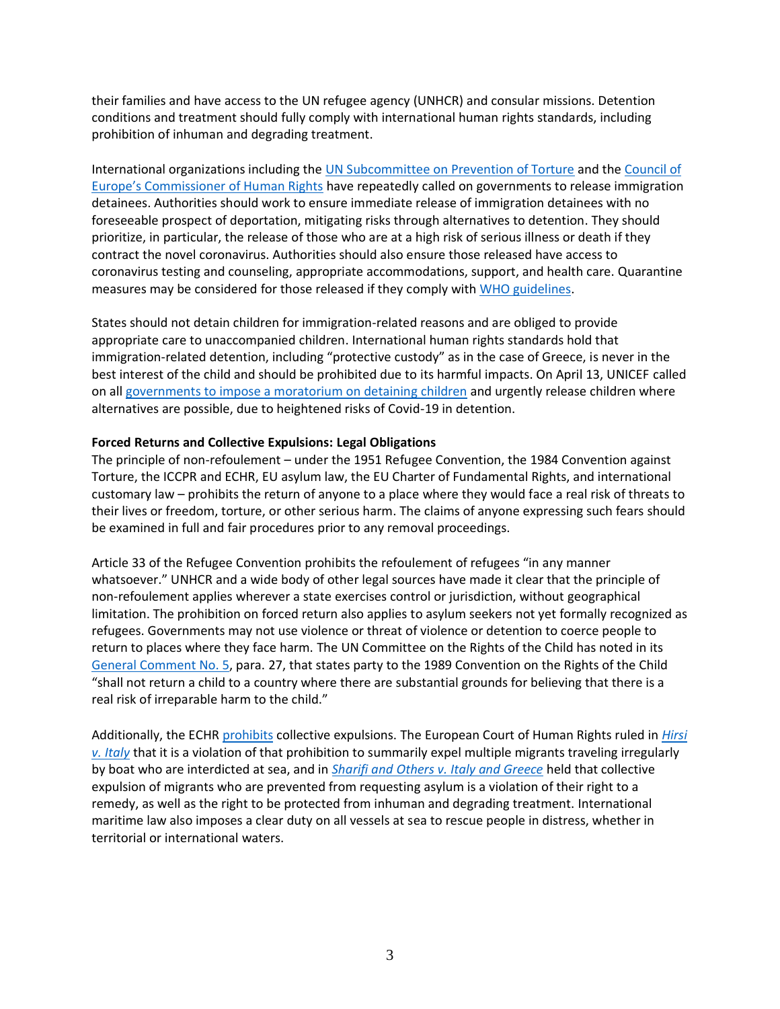their families and have access to the UN refugee agency (UNHCR) and consular missions. Detention conditions and treatment should fully comply with international human rights standards, including prohibition of inhuman and degrading treatment.

International organizations including the [UN Subcommittee on Prevention of Torture](https://www.ohchr.org/Documents/HRBodies/OPCAT/AdviceStatePartiesCoronavirusPandemic2020.pdf) and the [Council of](https://www.coe.int/en/web/commissioner/-/commissioner-calls-for-release-of-immigration-detainees-while-covid-19-crisis-continues)  [Europe's Commissioner of Human Rights](https://www.coe.int/en/web/commissioner/-/commissioner-calls-for-release-of-immigration-detainees-while-covid-19-crisis-continues) have repeatedly called on governments to release immigration detainees. Authorities should work to ensure immediate release of immigration detainees with no foreseeable prospect of deportation, mitigating risks through alternatives to detention. They should prioritize, in particular, the release of those who are at a high risk of serious illness or death if they contract the novel coronavirus. Authorities should also ensure those released have access to coronavirus testing and counseling, appropriate accommodations, support, and health care. Quarantine measures may be considered for those released if they comply wit[h WHO guidelines.](https://www.who.int/publications/i/item/considerations-for-quarantine-of-individuals-in-the-context-of-containment-for-coronavirus-disease-(covid-19))

States should not detain children for immigration-related reasons and are obliged to provide appropriate care to unaccompanied children. International human rights standards hold that immigration-related detention, including "protective custody" as in the case of Greece, is never in the best interest of the child and should be prohibited due to its harmful impacts. On April 13, UNICEF called on all [governments to impose a moratorium on detaining children](https://www.unicef.org/press-releases/children-detention-are-heightened-risk-contracting-covid-19-and-should-be-released) and urgently release children where alternatives are possible, due to heightened risks of Covid-19 in detention.

### **Forced Returns and Collective Expulsions: Legal Obligations**

The principle of non-refoulement – under the 1951 Refugee Convention, the 1984 Convention against Torture, the ICCPR and ECHR, EU asylum law, the EU Charter of Fundamental Rights, and international customary law – prohibits the return of anyone to a place where they would face a real risk of threats to their lives or freedom, torture, or other serious harm. The claims of anyone expressing such fears should be examined in full and fair procedures prior to any removal proceedings.

Article 33 of the Refugee Convention prohibits the refoulement of refugees "in any manner whatsoever." UNHCR and a wide body of other legal sources have made it clear that the principle of non-refoulement applies wherever a state exercises control or jurisdiction, without geographical limitation. The prohibition on forced return also applies to asylum seekers not yet formally recognized as refugees. Governments may not use violence or threat of violence or detention to coerce people to return to places where they face harm. The UN Committee on the Rights of the Child has noted in its [General Comment No. 5,](https://www.refworld.org/docid/42dd174b4.html) para. 27, that states party to the 1989 Convention on the Rights of the Child "shall not return a child to a country where there are substantial grounds for believing that there is a real risk of irreparable harm to the child."

Additionally, the ECH[R prohibits](https://www.echr.coe.int/Documents/FS_Collective_expulsions_ENG.pdf) collective expulsions. The European Court of Human Rights ruled in *[Hirsi](http://hudoc.echr.coe.int/spa?i=001-109231)  [v. Italy](http://hudoc.echr.coe.int/spa?i=001-109231)* that it is a violation of that prohibition to summarily expel multiple migrants traveling irregularly by boat who are interdicted at sea, and in *[Sharifi and Others v. Italy and Greece](http://hudoc.echr.coe.int/eng?i=001-147702)* held that collective expulsion of migrants who are prevented from requesting asylum is a violation of their right to a remedy, as well as the right to be protected from inhuman and degrading treatment. International maritime law also imposes a clear duty on all vessels at sea to rescue people in distress, whether in territorial or international waters.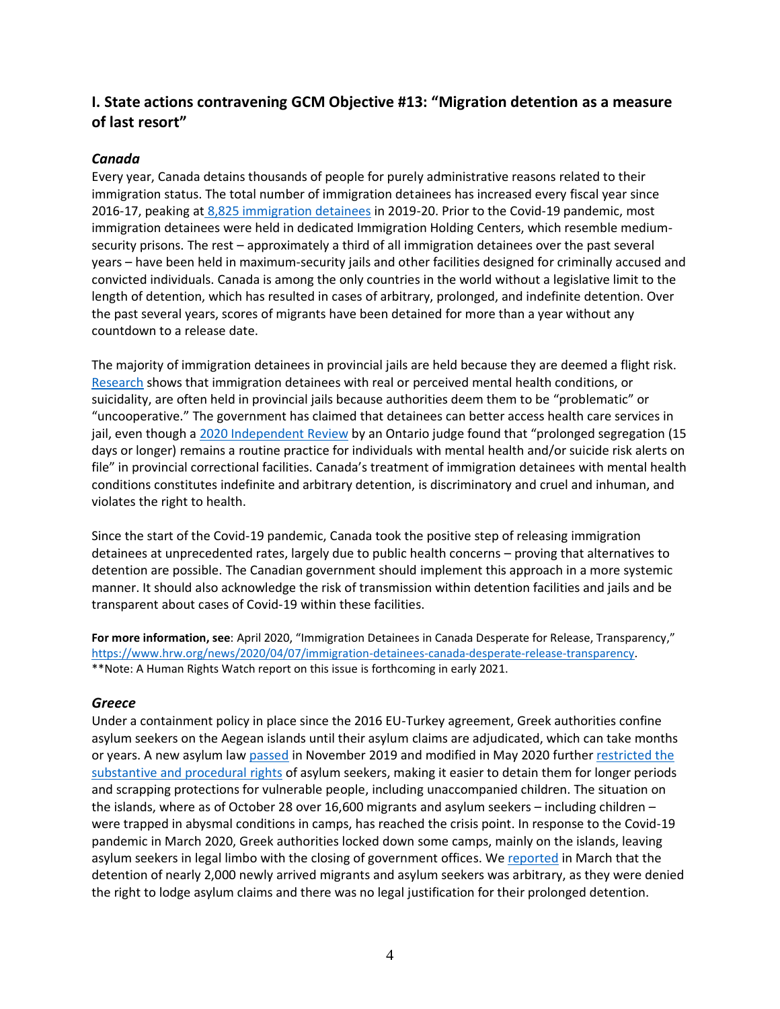# **I. State actions contravening GCM Objective #13: "Migration detention as a measure of last resort"**

## *Canada*

Every year, Canada detains thousands of people for purely administrative reasons related to their immigration status. The total number of immigration detainees has increased every fiscal year since 2016-17, peaking at [8,825 immigration detainees](https://www.cbsa-asfc.gc.ca/security-securite/detent/stat-2019-2020-eng.html) in 2019-20. Prior to the Covid-19 pandemic, most immigration detainees were held in dedicated Immigration Holding Centers, which resemble mediumsecurity prisons. The rest – approximately a third of all immigration detainees over the past several years – have been held in maximum-security jails and other facilities designed for criminally accused and convicted individuals. Canada is among the only countries in the world without a legislative limit to the length of detention, which has resulted in cases of arbitrary, prolonged, and indefinite detention. Over the past several years, scores of migrants have been detained for more than a year without any countdown to a release date.

The majority of immigration detainees in provincial jails are held because they are deemed a flight risk. [Research](https://ihrp.law.utoronto.ca/We_Have_No_Rights) shows that immigration detainees with real or perceived mental health conditions, or suicidality, are often held in provincial jails because authorities deem them to be "problematic" or "uncooperative." The government has claimed that detainees can better access health care services in jail, even though [a 2020 Independent](https://www.mcscs.jus.gov.on.ca/english/Corrections/JahnSettlement/FinalReportIndependentReviewer.html#background) Review by an Ontario judge found that "prolonged segregation (15 days or longer) remains a routine practice for individuals with mental health and/or suicide risk alerts on file" in provincial correctional facilities. Canada's treatment of immigration detainees with mental health conditions constitutes indefinite and arbitrary detention, is discriminatory and cruel and inhuman, and violates the right to health.

Since the start of the Covid-19 pandemic, Canada took the positive step of releasing immigration detainees at unprecedented rates, largely due to public health concerns – proving that alternatives to detention are possible. The Canadian government should implement this approach in a more systemic manner. It should also acknowledge the risk of transmission within detention facilities and jails and be transparent about cases of Covid-19 within these facilities.

**For more information, see**: April 2020, "Immigration Detainees in Canada Desperate for Release, Transparency," [https://www.hrw.org/news/2020/04/07/immigration-detainees-canada-desperate-release-transparency.](https://www.hrw.org/news/2020/04/07/immigration-detainees-canada-desperate-release-transparency) \*\*Note: A Human Rights Watch report on this issue is forthcoming in early 2021.

## *Greece*

Under a containment policy in place since the 2016 EU-Turkey agreement, Greek authorities confine asylum seekers on the Aegean islands until their asylum claims are adjudicated, which can take months or years. A new asylum law [passed](https://www.amnesty.org/download/Documents/EUR2512782019ENGLISH.pdf) in November 2019 and modified in May 2020 further [restricted the](https://www.hrw.org/news/2019/10/29/greece-asylum-overhaul-threatens-rights)  [substantive and procedural rights](https://www.hrw.org/news/2019/10/29/greece-asylum-overhaul-threatens-rights) of asylum seekers, making it easier to detain them for longer periods and scrapping protections for vulnerable people, including unaccompanied children. The situation on the islands, where as of October 28 over 16,600 migrants and asylum seekers – including children – were trapped in abysmal conditions in camps, has reached the crisis point. In response to the Covid-19 pandemic in March 2020, Greek authorities locked down some camps, mainly on the islands, leaving asylum seekers in legal limbo with the closing of government offices. We [reported](https://www.hrw.org/news/2020/03/31/greece-nearly-2000-new-arrivals-detained-overcrowded-mainland-camps) in March that the detention of nearly 2,000 newly arrived migrants and asylum seekers was arbitrary, as they were denied the right to lodge asylum claims and there was no legal justification for their prolonged detention.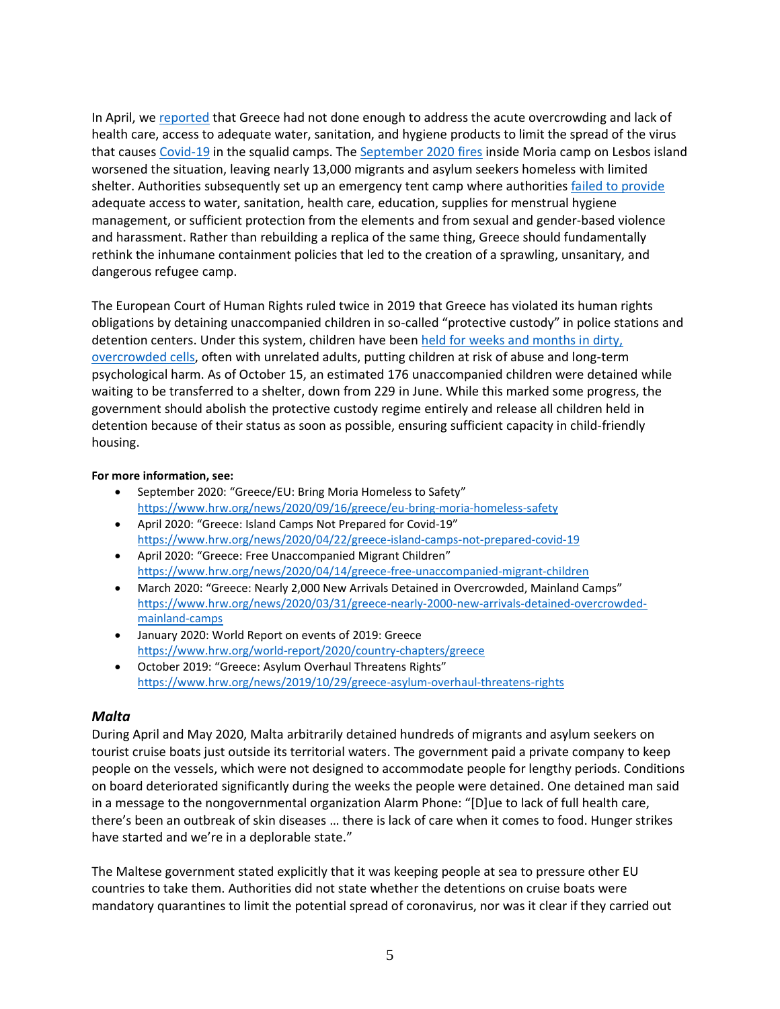In April, we [reported](https://www.hrw.org/news/2020/04/22/greece-island-camps-not-prepared-covid-19) that Greece had not done enough to address the acute overcrowding and lack of health care, access to adequate water, sanitation, and hygiene products to limit the spread of the virus that causes [Covid-19](https://www.hrw.org/news/2020/04/14/covid-19-human-rights-checklist) in the squalid camps. The [September 2020 fires](https://www.hrw.org/news/2020/09/16/greece/eu-bring-moria-homeless-safety) inside Moria camp on Lesbos island worsened the situation, leaving nearly 13,000 migrants and asylum seekers homeless with limited shelter. Authorities subsequently set up an emergency tent camp where authorities [failed to provide](https://www.dw.com/en/greece-moria-refugees-new-camp-conditions/a-55053895) adequate access to water, sanitation, health care, education, supplies for menstrual hygiene management, or sufficient protection from the elements and from sexual and gender-based violence and harassment. Rather than rebuilding a replica of the same thing, Greece should fundamentally rethink the inhumane containment policies that led to the creation of a sprawling, unsanitary, and dangerous refugee camp.

The European Court of Human Rights ruled twice in 2019 that Greece has violated its human rights obligations by detaining unaccompanied children in so-called "protective custody" in police stations and detention centers. Under this system, children have been [held for weeks and months in dirty,](https://www.hrw.org/report/2016/09/08/why-are-you-keeping-me-here/unaccompanied-children-detained-greece)  [overcrowded cells,](https://www.hrw.org/report/2016/09/08/why-are-you-keeping-me-here/unaccompanied-children-detained-greece) often with unrelated adults, putting children at risk of abuse and long-term psychological harm. As of October 15, an estimated 176 unaccompanied children were detained while waiting to be transferred to a shelter, down from 229 in June. While this marked some progress, the government should abolish the protective custody regime entirely and release all children held in detention because of their status as soon as possible, ensuring sufficient capacity in child-friendly housing.

### **For more information, see:**

- September 2020: "Greece/EU: Bring Moria Homeless to Safety" <https://www.hrw.org/news/2020/09/16/greece/eu-bring-moria-homeless-safety>
- April 2020: "Greece: Island Camps Not Prepared for Covid-19" <https://www.hrw.org/news/2020/04/22/greece-island-camps-not-prepared-covid-19>
- April 2020: "Greece: Free Unaccompanied Migrant Children" <https://www.hrw.org/news/2020/04/14/greece-free-unaccompanied-migrant-children>
- March 2020: "Greece: Nearly 2,000 New Arrivals Detained in Overcrowded, Mainland Camps" [https://www.hrw.org/news/2020/03/31/greece-nearly-2000-new-arrivals-detained-overcrowded](https://www.hrw.org/news/2020/03/31/greece-nearly-2000-new-arrivals-detained-overcrowded-mainland-camps)[mainland-camps](https://www.hrw.org/news/2020/03/31/greece-nearly-2000-new-arrivals-detained-overcrowded-mainland-camps)
- January 2020: World Report on events of 2019: Greece <https://www.hrw.org/world-report/2020/country-chapters/greece>
- October 2019: "Greece: Asylum Overhaul Threatens Rights" <https://www.hrw.org/news/2019/10/29/greece-asylum-overhaul-threatens-rights>

### *Malta*

During April and May 2020, Malta arbitrarily detained hundreds of migrants and asylum seekers on tourist cruise boats just outside its territorial waters. The government paid a private company to keep people on the vessels, which were not designed to accommodate people for lengthy periods. Conditions on board deteriorated significantly during the weeks the people were detained. One detained man said in a message to the nongovernmental organization Alarm Phone: "[D]ue to lack of full health care, there's been an outbreak of skin diseases … there is lack of care when it comes to food. Hunger strikes have started and we're in a deplorable state."

The Maltese government stated explicitly that it was keeping people at sea to pressure other EU countries to take them. Authorities did not state whether the detentions on cruise boats were mandatory quarantines to limit the potential spread of coronavirus, nor was it clear if they carried out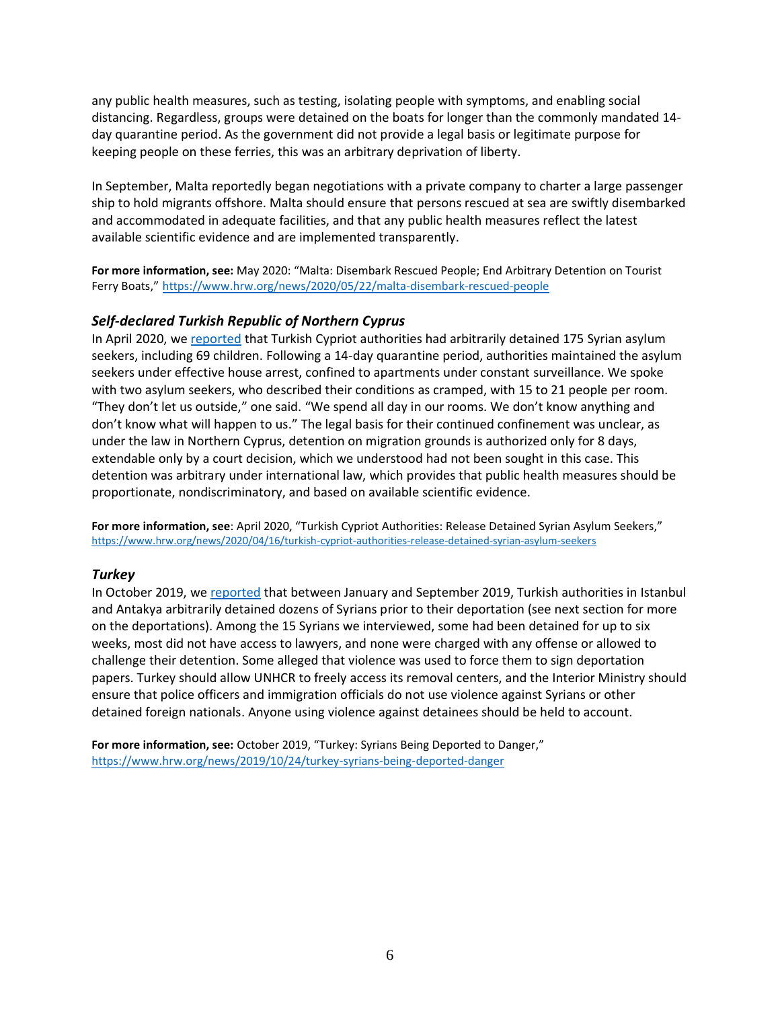any public health measures, such as testing, isolating people with symptoms, and enabling social distancing. Regardless, groups were detained on the boats for longer than the commonly mandated 14 day quarantine period. As the government did not provide a legal basis or legitimate purpose for keeping people on these ferries, this was an arbitrary deprivation of liberty.

In September, Malta reportedly began negotiations with a private company to charter a large passenger ship to hold migrants offshore. Malta should ensure that persons rescued at sea are swiftly disembarked and accommodated in adequate facilities, and that any public health measures reflect the latest available scientific evidence and are implemented transparently.

**For more information, see:** May 2020: "Malta: Disembark Rescued People; End Arbitrary Detention on Tourist Ferry Boats," <https://www.hrw.org/news/2020/05/22/malta-disembark-rescued-people>

### *Self-declared Turkish Republic of Northern Cyprus*

In April 2020, we [reported](https://www.hrw.org/news/2020/04/16/turkish-cypriot-authorities-release-detained-syrian-asylum-seekers) that Turkish Cypriot authorities had arbitrarily detained 175 Syrian asylum seekers, including 69 children. Following a 14-day quarantine period, authorities maintained the asylum seekers under effective house arrest, confined to apartments under constant surveillance. We spoke with two asylum seekers, who described their conditions as cramped, with 15 to 21 people per room. "They don't let us outside," one said. "We spend all day in our rooms. We don't know anything and don't know what will happen to us." The legal basis for their continued confinement was unclear, as under the law in Northern Cyprus, detention on migration grounds is authorized only for 8 days, extendable only by a court decision, which we understood had not been sought in this case. This detention was arbitrary under international law, which provides that public health measures should be proportionate, nondiscriminatory, and based on available scientific evidence.

**For more information, see**: April 2020, "Turkish Cypriot Authorities: Release Detained Syrian Asylum Seekers," <https://www.hrw.org/news/2020/04/16/turkish-cypriot-authorities-release-detained-syrian-asylum-seekers>

#### *Turkey*

In October 2019, we [reported](https://www.hrw.org/news/2019/10/24/turkey-syrians-being-deported-danger) that between January and September 2019, Turkish authorities in Istanbul and Antakya arbitrarily detained dozens of Syrians prior to their deportation (see next section for more on the deportations). Among the 15 Syrians we interviewed, some had been detained for up to six weeks, most did not have access to lawyers, and none were charged with any offense or allowed to challenge their detention. Some alleged that violence was used to force them to sign deportation papers. Turkey should allow UNHCR to freely access its removal centers, and the Interior Ministry should ensure that police officers and immigration officials do not use violence against Syrians or other detained foreign nationals. Anyone using violence against detainees should be held to account.

**For more information, see:** October 2019, "Turkey: Syrians Being Deported to Danger," <https://www.hrw.org/news/2019/10/24/turkey-syrians-being-deported-danger>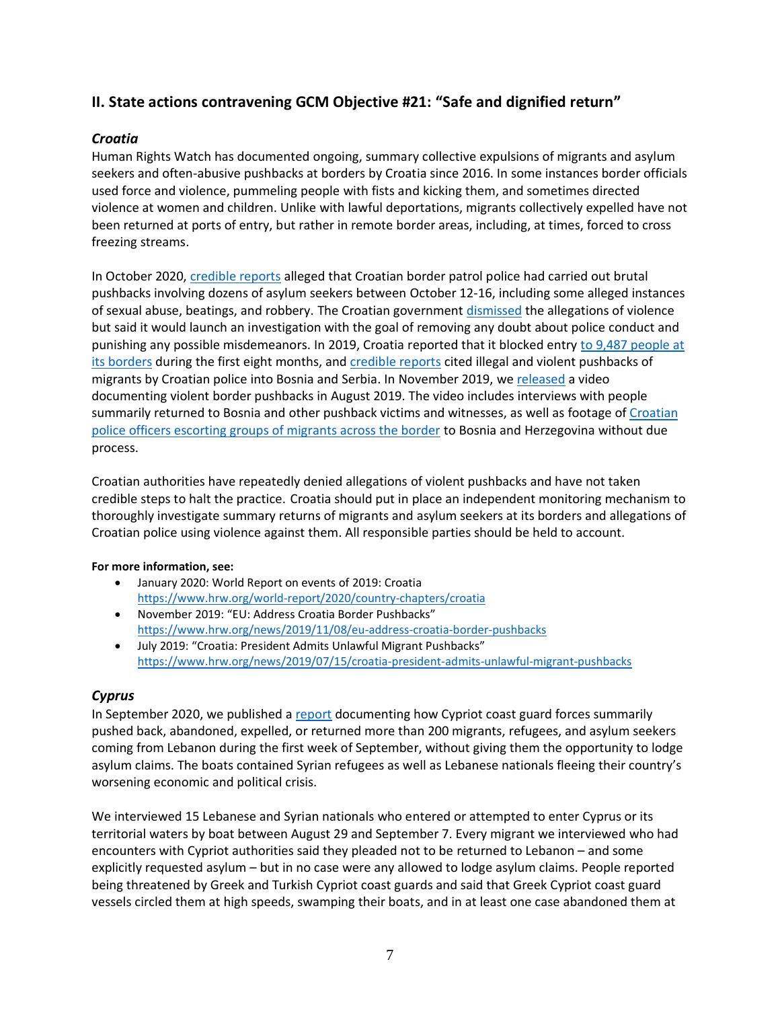# **II. State actions contravening GCM Objective #21: "Safe and dignified return"**

# *Croatia*

Human Rights Watch has documented ongoing, summary collective expulsions of migrants and asylum seekers and often-abusive pushbacks at borders by Croatia since 2016. In some instances border officials used force and violence, pummeling people with fists and kicking them, and sometimes directed violence at women and children. Unlike with lawful deportations, migrants collectively expelled have not been returned at ports of entry, but rather in remote border areas, including, at times, forced to cross freezing streams.

In October 2020, [credible reports](https://www.theguardian.com/global-development/2020/oct/21/croatian-police-accused-of-sickening-assaults-on-migrants-on-balkans-trail-bosnia) alleged that Croatian border patrol police had carried out brutal pushbacks involving dozens of asylum seekers between October 12-16, including some alleged instances of sexual abuse, beatings, and robbery. The Croatian government [dismissed](https://www.theguardian.com/global-development/2020/oct/23/croatia-denies-migrant-border-attacks-after-new-reports-of-brutal-pushbacks) the allegations of violence but said it would launch an investigation with the goal of removing any doubt about police conduct and punishing any possible misdemeanors. In 2019, Croatia reported that it blocked entry to [9,487 people at](https://mup.gov.hr/vijesti-8/reagiranje-na-optuzbe-komesarijata-za-izbjeglice-i-migracije-republike-srbije/284701)  [its borders](https://mup.gov.hr/vijesti-8/reagiranje-na-optuzbe-komesarijata-za-izbjeglice-i-migracije-republike-srbije/284701) during the first eight months, and [credible reports](https://www.theguardian.com/world/2019/jul/16/croatian-police-use-violence-to-push-back-migrants-says-president) cited illegal and violent pushbacks of migrants by Croatian police into Bosnia and Serbia. In November 2019, we [released](https://www.hrw.org/news/2019/11/08/eu-address-croatia-border-pushbacks) a video documenting violent border pushbacks in August 2019. The video includes interviews with people summarily returned to Bosnia and other pushback victims and witnesses, as well as footage of [Croatian](https://www.facebook.com/watch/?v=817824505265435)  [police officers escorting groups of migrants across the border](https://www.facebook.com/watch/?v=817824505265435) to Bosnia and Herzegovina without due process.

Croatian authorities have repeatedly denied allegations of violent pushbacks and have not taken credible steps to halt the practice. Croatia should put in place an independent monitoring mechanism to thoroughly investigate summary returns of migrants and asylum seekers at its borders and allegations of Croatian police using violence against them. All responsible parties should be held to account.

### **For more information, see:**

- January 2020: World Report on events of 2019: Croatia <https://www.hrw.org/world-report/2020/country-chapters/croatia>
- November 2019: "EU: Address Croatia Border Pushbacks" <https://www.hrw.org/news/2019/11/08/eu-address-croatia-border-pushbacks>
- July 2019: "Croatia: President Admits Unlawful Migrant Pushbacks" <https://www.hrw.org/news/2019/07/15/croatia-president-admits-unlawful-migrant-pushbacks>

## *Cyprus*

In September 2020, we published a [report](https://www.hrw.org/news/2020/09/29/cyprus-asylum-seekers-summarily-returned) documenting how Cypriot coast guard forces summarily pushed back, abandoned, expelled, or returned more than 200 migrants, refugees, and asylum seekers coming from Lebanon during the first week of September, without giving them the opportunity to lodge asylum claims. The boats contained Syrian refugees as well as Lebanese nationals fleeing their country's worsening economic and political crisis.

We interviewed 15 Lebanese and Syrian nationals who entered or attempted to enter Cyprus or its territorial waters by boat between August 29 and September 7. Every migrant we interviewed who had encounters with Cypriot authorities said they pleaded not to be returned to Lebanon – and some explicitly requested asylum – but in no case were any allowed to lodge asylum claims. People reported being threatened by Greek and Turkish Cypriot coast guards and said that Greek Cypriot coast guard vessels circled them at high speeds, swamping their boats, and in at least one case abandoned them at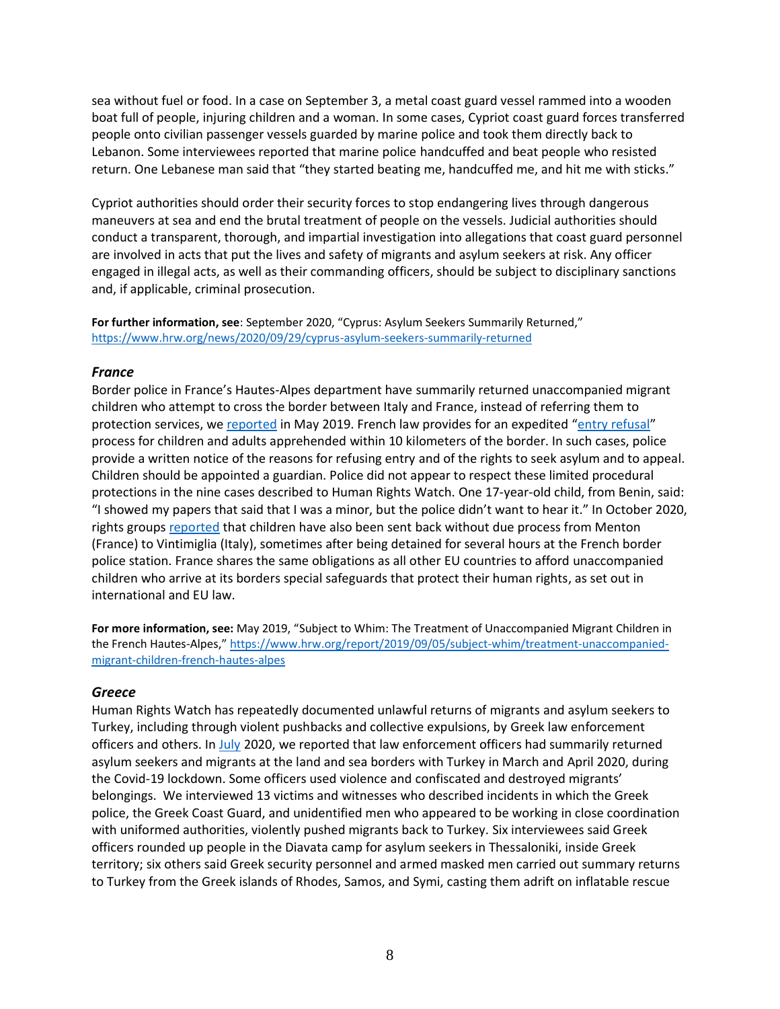sea without fuel or food. In a case on September 3, a metal coast guard vessel rammed into a wooden boat full of people, injuring children and a woman. In some cases, Cypriot coast guard forces transferred people onto civilian passenger vessels guarded by marine police and took them directly back to Lebanon. Some interviewees reported that marine police handcuffed and beat people who resisted return. One Lebanese man said that "they started beating me, handcuffed me, and hit me with sticks."

Cypriot authorities should order their security forces to stop endangering lives through dangerous maneuvers at sea and end the brutal treatment of people on the vessels. Judicial authorities should conduct a transparent, thorough, and impartial investigation into allegations that coast guard personnel are involved in acts that put the lives and safety of migrants and asylum seekers at risk. Any officer engaged in illegal acts, as well as their commanding officers, should be subject to disciplinary sanctions and, if applicable, criminal prosecution.

**For further information, see**: September 2020, "Cyprus: Asylum Seekers Summarily Returned," <https://www.hrw.org/news/2020/09/29/cyprus-asylum-seekers-summarily-returned>

## *France*

Border police in France's Hautes-Alpes department have summarily returned unaccompanied migrant children who attempt to cross the border between Italy and France, instead of referring them to protection services, we [reported](https://www.hrw.org/news/2019/09/05/france-immigrant-children-being-denied-protection) in May 2019. French law provides for an expedited "[entry refusal](https://www.legifrance.gouv.fr/affichCode.do;jsessionid=E1C99BB39D693EBEE009095284AF0D7F.tplgfr29s_2?idSectionTA=LEGISCTA000006147750&cidTexte=LEGITEXT000006070158&dateTexte=20190101)" process for children and adults apprehended within 10 kilometers of the border. In such cases, police provide a written notice of the reasons for refusing entry and of the rights to seek asylum and to appeal. Children should be appointed a guardian. Police did not appear to respect these limited procedural protections in the nine cases described to Human Rights Watch. One 17-year-old child, from Benin, said: "I showed my papers that said that I was a minor, but the police didn't want to hear it." In October 2020, rights groups [reported](https://www.medecinsdumonde.org/fr/actualites/publications/2020/10/05/les-manquements-des-autorites-francaises-pour-proteger-les-mineures-isolees-etrangeres) that children have also been sent back without due process from Menton (France) to Vintimiglia (Italy), sometimes after being detained for several hours at the French border police station. France shares the same obligations as all other EU countries to afford unaccompanied children who arrive at its borders special safeguards that protect their human rights, as set out in international and EU law.

**For more information, see:** May 2019, "Subject to Whim: The Treatment of Unaccompanied Migrant Children in the French Hautes-Alpes," [https://www.hrw.org/report/2019/09/05/subject-whim/treatment-unaccompanied](https://www.hrw.org/report/2019/09/05/subject-whim/treatment-unaccompanied-migrant-children-french-hautes-alpes)[migrant-children-french-hautes-alpes](https://www.hrw.org/report/2019/09/05/subject-whim/treatment-unaccompanied-migrant-children-french-hautes-alpes)

### *Greece*

Human Rights Watch has repeatedly documented unlawful returns of migrants and asylum seekers to Turkey, including through violent pushbacks and collective expulsions, by Greek law enforcement officers and others. In [July](https://www.hrw.org/news/2020/07/16/greece-investigate-pushbacks-collective-expulsions) 2020, we reported that law enforcement officers had summarily returned asylum seekers and migrants at the land and sea borders with Turkey in March and April 2020, during the Covid-19 lockdown. Some officers used violence and confiscated and destroyed migrants' belongings. We interviewed 13 victims and witnesses who described incidents in which the Greek police, the Greek Coast Guard, and unidentified men who appeared to be working in close coordination with uniformed authorities, violently pushed migrants back to Turkey. Six interviewees said Greek officers rounded up people in the Diavata camp for asylum seekers in Thessaloniki, inside Greek territory; six others said Greek security personnel and armed masked men carried out summary returns to Turkey from the Greek islands of Rhodes, Samos, and Symi, casting them adrift on inflatable rescue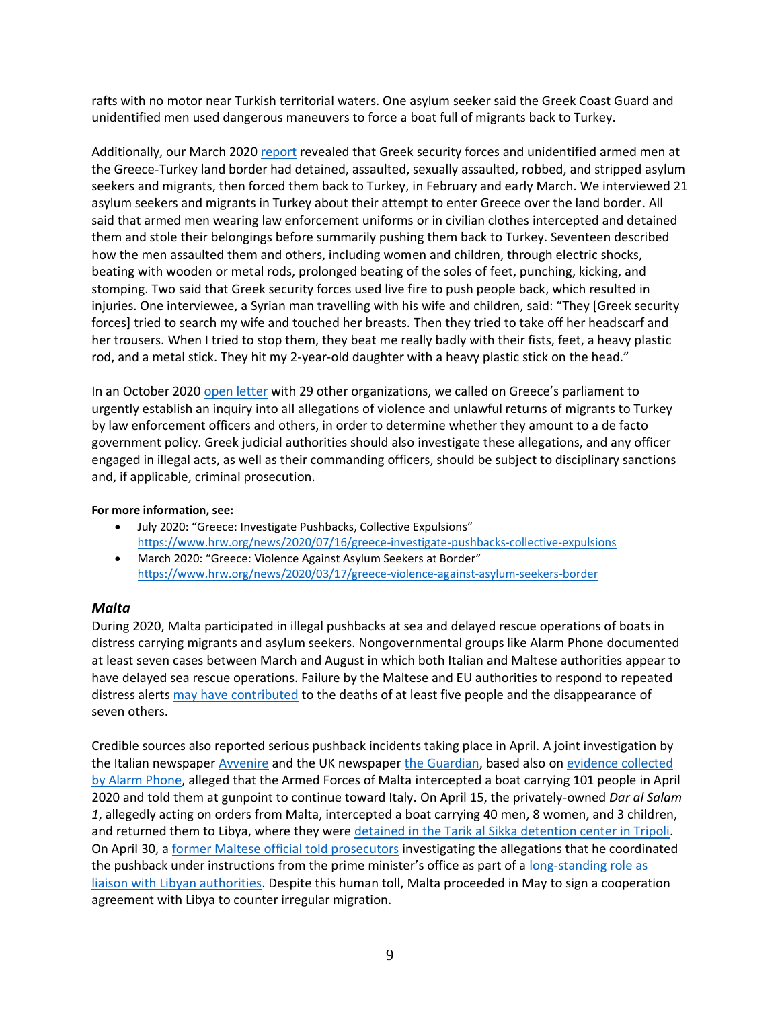rafts with no motor near Turkish territorial waters. One asylum seeker said the Greek Coast Guard and unidentified men used dangerous maneuvers to force a boat full of migrants back to Turkey.

Additionally, our March 2020 [report](https://www.hrw.org/news/2020/03/17/greece-violence-against-asylum-seekers-border) revealed that Greek security forces and unidentified armed men at the Greece-Turkey land border had detained, assaulted, sexually assaulted, robbed, and stripped asylum seekers and migrants, then forced them back to Turkey, in February and early March. We interviewed 21 asylum seekers and migrants in Turkey about their attempt to enter Greece over the land border. All said that armed men wearing law enforcement uniforms or in civilian clothes intercepted and detained them and stole their belongings before summarily pushing them back to Turkey. Seventeen described how the men assaulted them and others, including women and children, through electric shocks, beating with wooden or metal rods, prolonged beating of the soles of feet, punching, kicking, and stomping. Two said that Greek security forces used live fire to push people back, which resulted in injuries. One interviewee, a Syrian man travelling with his wife and children, said: "They [Greek security forces] tried to search my wife and touched her breasts. Then they tried to take off her headscarf and her trousers. When I tried to stop them, they beat me really badly with their fists, feet, a heavy plastic rod, and a metal stick. They hit my 2-year-old daughter with a heavy plastic stick on the head."

In an October 2020 [open letter](https://www.hrw.org/news/2020/10/06/open-letter-members-hellenic-parliament-calling-investigation-border-abuses) with 29 other organizations, we called on Greece's parliament to urgently establish an inquiry into all allegations of violence and unlawful returns of migrants to Turkey by law enforcement officers and others, in order to determine whether they amount to a de facto government policy. Greek judicial authorities should also investigate these allegations, and any officer engaged in illegal acts, as well as their commanding officers, should be subject to disciplinary sanctions and, if applicable, criminal prosecution.

#### **For more information, see:**

- July 2020: "Greece: Investigate Pushbacks, Collective Expulsions" <https://www.hrw.org/news/2020/07/16/greece-investigate-pushbacks-collective-expulsions>
- March 2020: "Greece: Violence Against Asylum Seekers at Border" <https://www.hrw.org/news/2020/03/17/greece-violence-against-asylum-seekers-border>

### *Malta*

During 2020, Malta participated in illegal pushbacks at sea and delayed rescue operations of boats in distress carrying migrants and asylum seekers. Nongovernmental groups like Alarm Phone documented at least seven cases between March and August in which both Italian and Maltese authorities appear to have delayed sea rescue operations. Failure by the Maltese and EU authorities to respond to repeated distress alerts [may have contributed](https://www.avvenire.it/attualita/pagine/controinchiesta-strage-di-pasquetta-libia-malta-scavo) to the deaths of at least five people and the disappearance of seven others.

Credible sources also reported serious pushback incidents taking place in April. A joint investigation by the Italian newspaper [Avvenire](https://www.avvenire.it/attualita/pagine/cosi-malta-respinge-i-migranti-e-li-dirotta-verso-libia-e-italia) and the UK newspaper [the Guardian,](https://www.theguardian.com/global-development/2020/may/20/we-give-you-30-minutes-malta-turns-migrant-boat-away-with-directions-to-italy) based also on [evidence collected](https://twitter.com/alarm_phone/status/1262993717117452288?s=20)  [by Alarm Phone,](https://twitter.com/alarm_phone/status/1262993717117452288?s=20) alleged that the Armed Forces of Malta intercepted a boat carrying 101 people in April 2020 and told them at gunpoint to continue toward Italy. On April 15, the privately-owned *Dar al Salam 1*, allegedly acting on orders from Malta, intercepted a boat carrying 40 men, 8 women, and 3 children, and returned them to Libya, where they were [detained in the Tarik al Sikka detention center in Tripoli.](https://reliefweb.int/report/world/press-briefing-note-migrant-rescues-mediterranean-spokesperson-un-high-commissioner) On April 30, a [former Maltese official told prosecutors](https://timesofmalta.com/articles/view/neville-gafa-says-he-coordinated-libya-pushback-on-opm-orders.788951) investigating the allegations that he coordinated the pushback under instructions from the prime minister's office as part of a long-standing role as [liaison with Libyan authorities.](https://www.nytimes.com/2020/04/30/world/europe/migrants-malta.html) Despite this human toll, Malta proceeded in May to sign a cooperation agreement with Libya to counter irregular migration.